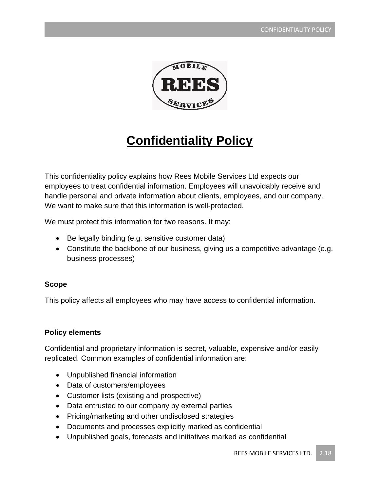

# **Confidentiality Policy**

This confidentiality policy explains how Rees Mobile Services Ltd expects our employees to treat confidential information. Employees will unavoidably receive and handle personal and private information about clients, employees, and our company. We want to make sure that this information is well-protected.

We must protect this information for two reasons. It may:

- Be legally binding (e.g. sensitive customer data)
- Constitute the backbone of our business, giving us a competitive advantage (e.g. business processes)

#### **Scope**

This policy affects all employees who may have access to confidential information.

## **Policy elements**

Confidential and proprietary information is secret, valuable, expensive and/or easily replicated. Common examples of confidential information are:

- Unpublished financial information
- Data of customers/employees
- Customer lists (existing and prospective)
- Data entrusted to our company by external parties
- Pricing/marketing and other undisclosed strategies
- Documents and processes explicitly marked as confidential
- Unpublished goals, forecasts and initiatives marked as confidential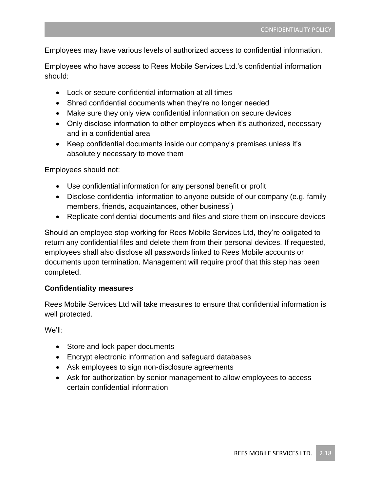Employees may have various levels of authorized access to confidential information.

Employees who have access to Rees Mobile Services Ltd.'s confidential information should:

- Lock or secure confidential information at all times
- Shred confidential documents when they're no longer needed
- Make sure they only view confidential information on secure devices
- Only disclose information to other employees when it's authorized, necessary and in a confidential area
- Keep confidential documents inside our company's premises unless it's absolutely necessary to move them

Employees should not:

- Use confidential information for any personal benefit or profit
- Disclose confidential information to anyone outside of our company (e.g. family members, friends, acquaintances, other business')
- Replicate confidential documents and files and store them on insecure devices

Should an employee stop working for Rees Mobile Services Ltd, they're obligated to return any confidential files and delete them from their personal devices. If requested, employees shall also disclose all passwords linked to Rees Mobile accounts or documents upon termination. Management will require proof that this step has been completed.

#### **Confidentiality measures**

Rees Mobile Services Ltd will take measures to ensure that confidential information is well protected.

We'll:

- Store and lock paper documents
- Encrypt electronic information and safeguard databases
- Ask employees to sign non-disclosure agreements
- Ask for authorization by senior management to allow employees to access certain confidential information